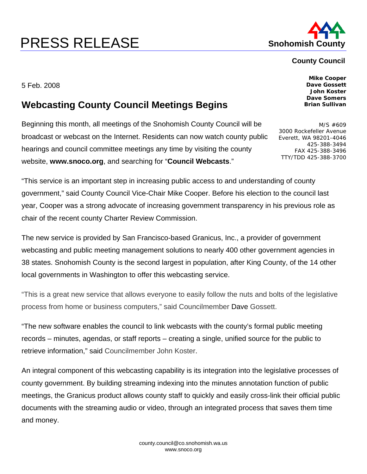## **PRESS RELEASE Shohomish County**



## **County Council**

5 Feb. 2008

## **Webcasting County Council Meetings Begins**

Beginning this month, all meetings of the Snohomish County Council will be broadcast or webcast on the Internet. Residents can now watch county public hearings and council committee meetings any time by visiting the county website, **www.snoco.org**, and searching for "**Council Webcasts**."

"This service is an important step in increasing public access to and understanding of county government," said County Council Vice-Chair Mike Cooper. Before his election to the council last year, Cooper was a strong advocate of increasing government transparency in his previous role as chair of the recent county Charter Review Commission.

The new service is provided by San Francisco-based Granicus, Inc., a provider of government webcasting and public meeting management solutions to nearly 400 other government agencies in 38 states. Snohomish County is the second largest in population, after King County, of the 14 other local governments in Washington to offer this webcasting service.

"This is a great new service that allows everyone to easily follow the nuts and bolts of the legislative process from home or business computers," said Councilmember Dave Gossett.

"The new software enables the council to link webcasts with the county's formal public meeting records – minutes, agendas, or staff reports – creating a single, unified source for the public to retrieve information," said Councilmember John Koster.

An integral component of this webcasting capability is its integration into the legislative processes of county government. By building streaming indexing into the minutes annotation function of public meetings, the Granicus product allows county staff to quickly and easily cross-link their official public documents with the streaming audio or video, through an integrated process that saves them time and money.

**Mike Cooper Dave Gossett John Koster Dave Somers Brian Sullivan** 

M/S #609 3000 Rockefeller Avenue Everett, WA 98201-4046 425-388-3494 FAX 425-388-3496 TTY/TDD 425-388-3700